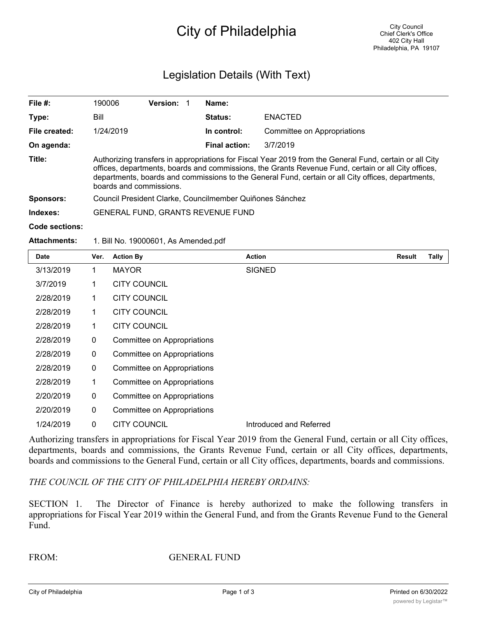# City of Philadelphia

## Legislation Details (With Text)

| File #:               | 190006                                                                                                                                                                                                                                                                                                                                          | <b>Version:</b> |  | Name:                |                             |
|-----------------------|-------------------------------------------------------------------------------------------------------------------------------------------------------------------------------------------------------------------------------------------------------------------------------------------------------------------------------------------------|-----------------|--|----------------------|-----------------------------|
| Type:                 | Bill                                                                                                                                                                                                                                                                                                                                            |                 |  | <b>Status:</b>       | <b>ENACTED</b>              |
| File created:         | 1/24/2019                                                                                                                                                                                                                                                                                                                                       |                 |  | In control:          | Committee on Appropriations |
| On agenda:            |                                                                                                                                                                                                                                                                                                                                                 |                 |  | <b>Final action:</b> | 3/7/2019                    |
| Title:                | Authorizing transfers in appropriations for Fiscal Year 2019 from the General Fund, certain or all City<br>offices, departments, boards and commissions, the Grants Revenue Fund, certain or all City offices,<br>departments, boards and commissions to the General Fund, certain or all City offices, departments,<br>boards and commissions. |                 |  |                      |                             |
| <b>Sponsors:</b>      | Council President Clarke, Councilmember Quiñones Sánchez                                                                                                                                                                                                                                                                                        |                 |  |                      |                             |
| Indexes:              | GENERAL FUND, GRANTS REVENUE FUND                                                                                                                                                                                                                                                                                                               |                 |  |                      |                             |
| <b>Code sections:</b> |                                                                                                                                                                                                                                                                                                                                                 |                 |  |                      |                             |

#### **Attachments:** 1. Bill No. 19000601, As Amended.pdf

| Date      | Ver. | <b>Action By</b>            | <b>Action</b>           | <b>Result</b> | <b>Tally</b> |
|-----------|------|-----------------------------|-------------------------|---------------|--------------|
| 3/13/2019 | 1    | <b>MAYOR</b>                | <b>SIGNED</b>           |               |              |
| 3/7/2019  | 1    | <b>CITY COUNCIL</b>         |                         |               |              |
| 2/28/2019 | 1    | <b>CITY COUNCIL</b>         |                         |               |              |
| 2/28/2019 | 1    | <b>CITY COUNCIL</b>         |                         |               |              |
| 2/28/2019 | 1    | <b>CITY COUNCIL</b>         |                         |               |              |
| 2/28/2019 | 0    | Committee on Appropriations |                         |               |              |
| 2/28/2019 | 0    | Committee on Appropriations |                         |               |              |
| 2/28/2019 | 0    | Committee on Appropriations |                         |               |              |
| 2/28/2019 | 1    | Committee on Appropriations |                         |               |              |
| 2/20/2019 | 0    | Committee on Appropriations |                         |               |              |
| 2/20/2019 | 0    | Committee on Appropriations |                         |               |              |
| 1/24/2019 | 0    | <b>CITY COUNCIL</b>         | Introduced and Referred |               |              |

Authorizing transfers in appropriations for Fiscal Year 2019 from the General Fund, certain or all City offices, departments, boards and commissions, the Grants Revenue Fund, certain or all City offices, departments, boards and commissions to the General Fund, certain or all City offices, departments, boards and commissions.

#### *THE COUNCIL OF THE CITY OF PHILADELPHIA HEREBY ORDAINS:*

SECTION 1. The Director of Finance is hereby authorized to make the following transfers in appropriations for Fiscal Year 2019 within the General Fund, and from the Grants Revenue Fund to the General Fund.

FROM: GENERAL FUND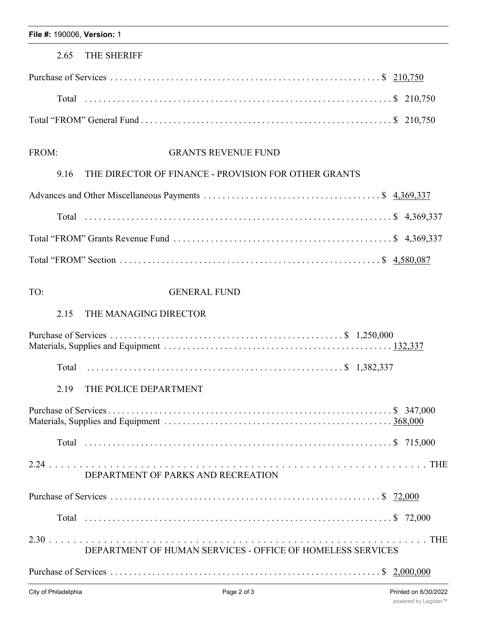### 2.65 THE SHERIFF

## FROM: GRANTS REVENUE FUND

#### 9.16 THE DIRECTOR OF FINANCE - PROVISION FOR OTHER GRANTS

#### TO: GENERAL FUND

#### 2.15 THE MANAGING DIRECTOR

| 2.19 | THE POLICE DEPARTMENT                                      |  |
|------|------------------------------------------------------------|--|
|      |                                                            |  |
|      |                                                            |  |
|      | DEPARTMENT OF PARKS AND RECREATION                         |  |
|      |                                                            |  |
|      |                                                            |  |
|      | DEPARTMENT OF HUMAN SERVICES - OFFICE OF HOMELESS SERVICES |  |
|      |                                                            |  |